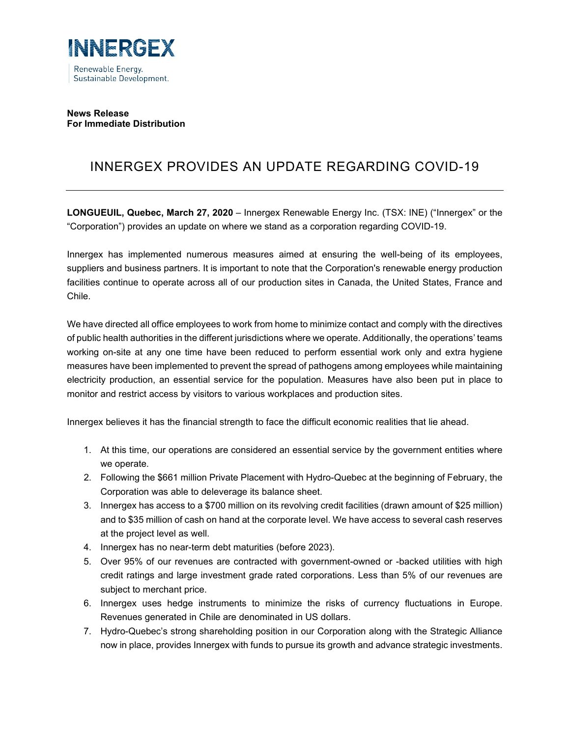

# **News Release For Immediate Distribution**

# INNERGEX PROVIDES AN UPDATE REGARDING COVID-19

**LONGUEUIL, Quebec, March 27, 2020** – Innergex Renewable Energy Inc. (TSX: INE) ("Innergex" or the "Corporation") provides an update on where we stand as a corporation regarding COVID-19.

Innergex has implemented numerous measures aimed at ensuring the well-being of its employees, suppliers and business partners. It is important to note that the Corporation's renewable energy production facilities continue to operate across all of our production sites in Canada, the United States, France and Chile.

We have directed all office employees to work from home to minimize contact and comply with the directives of public health authorities in the different jurisdictions where we operate. Additionally, the operations' teams working on-site at any one time have been reduced to perform essential work only and extra hygiene measures have been implemented to prevent the spread of pathogens among employees while maintaining electricity production, an essential service for the population. Measures have also been put in place to monitor and restrict access by visitors to various workplaces and production sites.

Innergex believes it has the financial strength to face the difficult economic realities that lie ahead.

- 1. At this time, our operations are considered an essential service by the government entities where we operate.
- 2. Following the \$661 million Private Placement with Hydro-Quebec at the beginning of February, the Corporation was able to deleverage its balance sheet.
- 3. Innergex has access to a \$700 million on its revolving credit facilities (drawn amount of \$25 million) and to \$35 million of cash on hand at the corporate level. We have access to several cash reserves at the project level as well.
- 4. Innergex has no near-term debt maturities (before 2023).
- 5. Over 95% of our revenues are contracted with government-owned or -backed utilities with high credit ratings and large investment grade rated corporations. Less than 5% of our revenues are subject to merchant price.
- 6. Innergex uses hedge instruments to minimize the risks of currency fluctuations in Europe. Revenues generated in Chile are denominated in US dollars.
- 7. Hydro-Quebec's strong shareholding position in our Corporation along with the Strategic Alliance now in place, provides Innergex with funds to pursue its growth and advance strategic investments.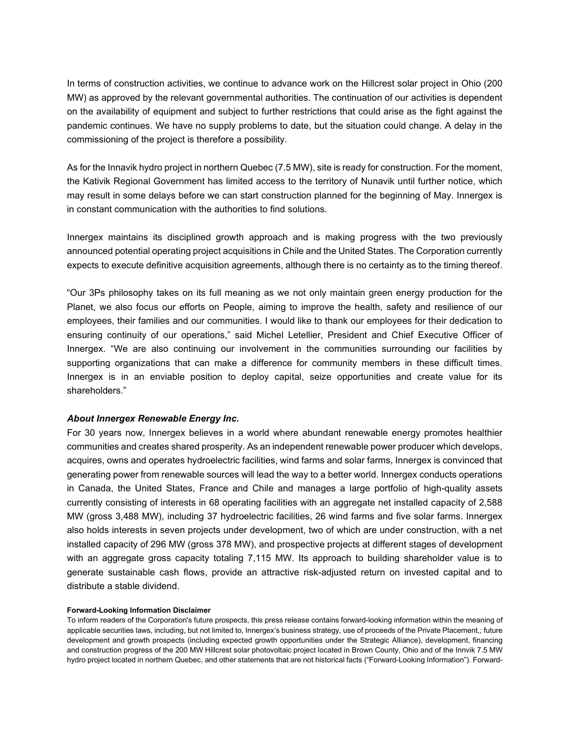In terms of construction activities, we continue to advance work on the Hillcrest solar project in Ohio (200 MW) as approved by the relevant governmental authorities. The continuation of our activities is dependent on the availability of equipment and subject to further restrictions that could arise as the fight against the pandemic continues. We have no supply problems to date, but the situation could change. A delay in the commissioning of the project is therefore a possibility.

As for the Innavik hydro project in northern Quebec (7.5 MW), site is ready for construction. For the moment, the Kativik Regional Government has limited access to the territory of Nunavik until further notice, which may result in some delays before we can start construction planned for the beginning of May. Innergex is in constant communication with the authorities to find solutions.

Innergex maintains its disciplined growth approach and is making progress with the two previously announced potential operating project acquisitions in Chile and the United States. The Corporation currently expects to execute definitive acquisition agreements, although there is no certainty as to the timing thereof.

"Our 3Ps philosophy takes on its full meaning as we not only maintain green energy production for the Planet, we also focus our efforts on People, aiming to improve the health, safety and resilience of our employees, their families and our communities. I would like to thank our employees for their dedication to ensuring continuity of our operations," said Michel Letellier, President and Chief Executive Officer of Innergex. "We are also continuing our involvement in the communities surrounding our facilities by supporting organizations that can make a difference for community members in these difficult times. Innergex is in an enviable position to deploy capital, seize opportunities and create value for its shareholders."

## *About Innergex Renewable Energy Inc.*

For 30 years now, Innergex believes in a world where abundant renewable energy promotes healthier communities and creates shared prosperity. As an independent renewable power producer which develops, acquires, owns and operates hydroelectric facilities, wind farms and solar farms, Innergex is convinced that generating power from renewable sources will lead the way to a better world. Innergex conducts operations in Canada, the United States, France and Chile and manages a large portfolio of high-quality assets currently consisting of interests in 68 operating facilities with an aggregate net installed capacity of 2,588 MW (gross 3,488 MW), including 37 hydroelectric facilities, 26 wind farms and five solar farms. Innergex also holds interests in seven projects under development, two of which are under construction, with a net installed capacity of 296 MW (gross 378 MW), and prospective projects at different stages of development with an aggregate gross capacity totaling 7,115 MW. Its approach to building shareholder value is to generate sustainable cash flows, provide an attractive risk-adjusted return on invested capital and to distribute a stable dividend.

#### **Forward-Looking Information Disclaimer**

To inform readers of the Corporation's future prospects, this press release contains forward-looking information within the meaning of applicable securities laws, including, but not limited to, Innergex's business strategy, use of proceeds of the Private Placement,; future development and growth prospects (including expected growth opportunities under the Strategic Alliance), development, financing and construction progress of the 200 MW Hillcrest solar photovoltaic project located in Brown County, Ohio and of the Innvik 7.5 MW hydro project located in northern Quebec, and other statements that are not historical facts ("Forward-Looking Information"). Forward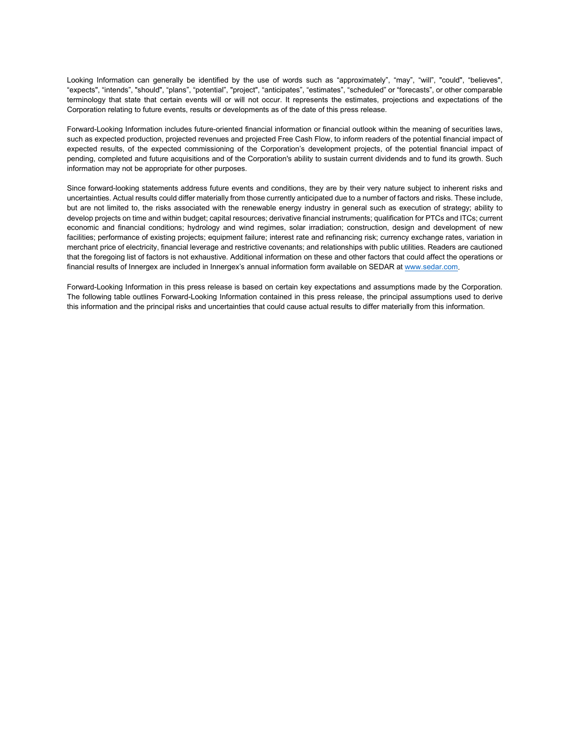Looking Information can generally be identified by the use of words such as "approximately", "may", "will", "could", "believes", "expects", "intends", "should", "plans", "potential", "project", "anticipates", "estimates", "scheduled" or "forecasts", or other comparable terminology that state that certain events will or will not occur. It represents the estimates, projections and expectations of the Corporation relating to future events, results or developments as of the date of this press release.

Forward-Looking Information includes future-oriented financial information or financial outlook within the meaning of securities laws, such as expected production, projected revenues and projected Free Cash Flow, to inform readers of the potential financial impact of expected results, of the expected commissioning of the Corporation's development projects, of the potential financial impact of pending, completed and future acquisitions and of the Corporation's ability to sustain current dividends and to fund its growth. Such information may not be appropriate for other purposes.

Since forward-looking statements address future events and conditions, they are by their very nature subject to inherent risks and uncertainties. Actual results could differ materially from those currently anticipated due to a number of factors and risks. These include, but are not limited to, the risks associated with the renewable energy industry in general such as execution of strategy; ability to develop projects on time and within budget; capital resources; derivative financial instruments; qualification for PTCs and ITCs; current economic and financial conditions; hydrology and wind regimes, solar irradiation; construction, design and development of new facilities; performance of existing projects; equipment failure; interest rate and refinancing risk; currency exchange rates, variation in merchant price of electricity, financial leverage and restrictive covenants; and relationships with public utilities. Readers are cautioned that the foregoing list of factors is not exhaustive. Additional information on these and other factors that could affect the operations or financial results of Innergex are included in Innergex's annual information form available on SEDAR at [www.sedar.com.](http://www.sedar.com/)

Forward-Looking Information in this press release is based on certain key expectations and assumptions made by the Corporation. The following table outlines Forward-Looking Information contained in this press release, the principal assumptions used to derive this information and the principal risks and uncertainties that could cause actual results to differ materially from this information.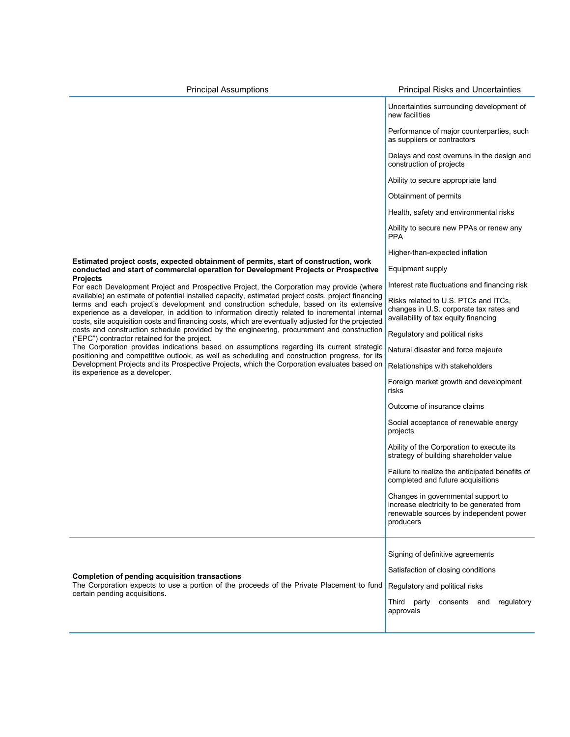**Estimated project costs, expected obtainment of permits, start of construction, work conducted and start of commercial operation for Development Projects or Prospective Projects** For each Development Project and Prospective Project, the Corporation may provide (where available) an estimate of potential installed capacity, estimated project costs, project financing terms and each project's development and construction schedule, based on its extensive experience as a developer, in addition to information directly related to incremental internal costs, site acquisition costs and financing costs, which are eventually adjusted for the projected costs and construction schedule provided by the engineering, procurement and construction ("EPC") contractor retained for the project. The Corporation provides indications based on assumptions regarding its current strategic positioning and competitive outlook, as well as scheduling and construction progress, for its Development Projects and its Prospective Projects, which the Corporation evaluates based on its experience as a developer. Uncertainties surrounding development of new facilities Performance of major counterparties, such as suppliers or contractors Delays and cost overruns in the design and construction of projects Ability to secure appropriate land Obtainment of permits Health, safety and environmental risks Ability to secure new PPAs or renew any PPA Higher-than-expected inflation Equipment supply Interest rate fluctuations and financing risk Risks related to U.S. PTCs and ITCs, changes in U.S. corporate tax rates and availability of tax equity financing Regulatory and political risks Natural disaster and force majeure Relationships with stakeholders Foreign market growth and development risks Outcome of insurance claims Social acceptance of renewable energy projects Ability of the Corporation to execute its strategy of building shareholder value Failure to realize the anticipated benefits of completed and future acquisitions

Changes in governmental support to increase electricity to be generated from renewable sources by independent power producers **Completion of pending acquisition transactions** The Corporation expects to use a portion of the proceeds of the Private Placement to fund certain pending acquisitions**.** Signing of definitive agreements Satisfaction of closing conditions Regulatory and political risks Third party consents and regulatory approvals

## Principal Assumptions **Principal Risks and Uncertainties** Principal Risks and Uncertainties